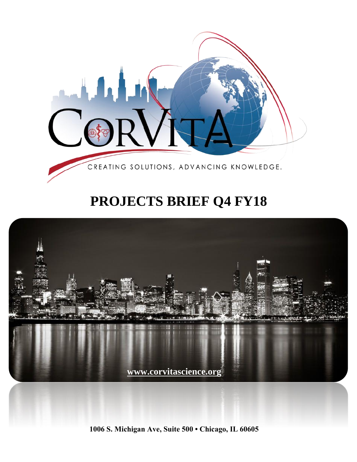

# **PROJECTS BRIEF Q4 FY18**



**1006 S. Michigan Ave, Suite 500 • Chicago, IL 60605**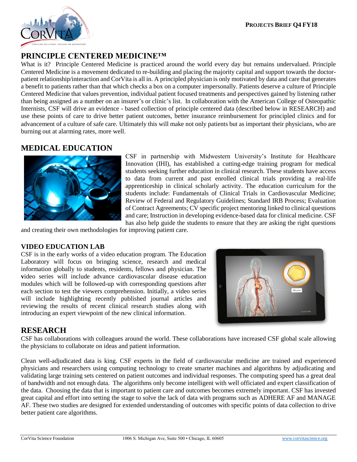

## **PRINCIPLE CENTERED MEDICINE™**

What is it? Principle Centered Medicine is practiced around the world every day but remains undervalued. Principle Centered Medicine is a movement dedicated to re-building and placing the majority capital and support towards the doctorpatient relationship/interaction and CorVita is all in. A principled physician is only motivated by data and care that generates a benefit to patients rather than that which checks a box on a computer impersonally. Patients deserve a culture of Principle Centered Medicine that values prevention, individual patient focused treatments and perspectives gained by listening rather than being assigned as a number on an insurer's or clinic's list. In collaboration with the American College of Osteopathic Internists, CSF will drive an evidence - based collection of principle centered data (described below in RESEARCH) and use these points of care to drive better patient outcomes, better insurance reimbursement for principled clinics and for advancement of a culture of safe care. Ultimately this will make not only patients but as important their physicians, who are burning out at alarming rates, more well.

### **MEDICAL EDUCATION**



CSF in partnership with Midwestern University's Institute for Healthcare Innovation (IHI), has established a cutting-edge training program for medical students seeking further education in clinical research. These students have access to data from current and past enrolled clinical trials providing a real-life apprenticeship in clinical scholarly activity. The education curriculum for the students include: Fundamentals of Clinical Trials in Cardiovascular Medicine; Review of Federal and Regulatory Guidelines; Standard IRB Process; Evaluation of Contract Agreements; CV specific project mentoring linked to clinical questions and care; Instruction in developing evidence-based data for clinical medicine. CSF has also help guide the students to ensure that they are asking the right questions

and creating their own methodologies for improving patient care.

#### **VIDEO EDUCATION LAB**

CSF is in the early works of a video education program. The Education Laboratory will focus on bringing science, research and medical information globally to students, residents, fellows and physician. The **v**ideo series will include advance cardiovascular disease education modules which will be followed-up with corresponding questions after each section to test the viewers comprehension. Initially, a video series will include highlighting recently published journal articles and reviewing the results of recent clinical research studies along with introducing an expert viewpoint of the new clinical information.



#### **RESEARCH**

CSF has collaborations with colleagues around the world. These collaborations have increased CSF global scale allowing the physicians to collaborate on ideas and patient information.

Clean well-adjudicated data is king. CSF experts in the field of cardiovascular medicine are trained and experienced physicians and researchers using computing technology to create smarter machines and algorithms by adjudicating and validating large training sets centered on patient outcomes and individual responses. The computing speed has a great deal of bandwidth and not enough data. The algorithms only become intelligent with well officiated and expert classification of the data. Choosing the data that is important to patient care and outcomes becomes extremely important. CSF has invested great capital and effort into setting the stage to solve the lack of data with programs such as ADHERE AF and MANAGE AF. These two studies are designed for extended understanding of outcomes with specific points of data collection to drive better patient care algorithms.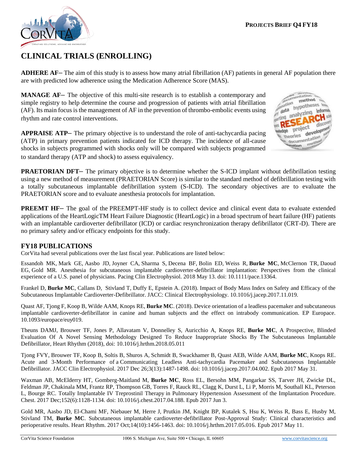

# **CLINICAL TRIALS (ENROLLING)**

**ADHERE AF–** The aim of this study is to assess how many atrial fibrillation (AF) patients in general AF population there are with predicted low adherence using the Medication Adherence Score (MAS).

**MANAGE AF–** The objective of this multi-site research is to establish a contemporary and simple registry to help determine the course and progression of patients with atrial fibrillation  $(AF)$ . Its main focus is the management of  $AF$  in the prevention of thrombo-embolic events using rhythm and rate control interventions.

**APPRAISE ATP–** The primary objective is to understand the role of anti-tachycardia pacing (ATP) in primary prevention patients indicated for ICD therapy. The incidence of all-cause shocks in subjects programmed with shocks only will be compared with subjects programmed to standard therapy (ATP and shock) to assess equivalency.



**PRAETORIAN DFT–** The primary objective is to determine whether the S-ICD implant without defibrillation testing using a new method of measurement (PRAETORIAN Score) is similar to the standard method of defibrillation testing with a totally subcutaneous implantable defibrillation system (S-ICD). The secondary objectives are to evaluate the PRAETORIAN score and to evaluate anesthesia protocols for implantation.

**PREEMT HF** – The goal of the PREEMPT-HF study is to collect device and clinical event data to evaluate extended applications of the HeartLogicTM Heart Failure Diagnostic (HeartLogic) in a broad spectrum of heart failure (HF) patients with an implantable cardioverter defibrillator (ICD) or cardiac resynchronization therapy defibrillator (CRT-D). There are no primary safety and/or efficacy endpoints for this study.

#### **FY18 PUBLICATIONS**

CorVita had several publications over the last fiscal year. Publications are listed below:

Essandoh MK, Mark GE, Aasbo JD, Joyner CA, Sharma S, Decena BF, Bolin ED, Weiss R, **Burke MC**, McClernon TR, Daoud EG, Gold MR. Anesthesia for subcutaneous implantable cardioverter-defibrillator implantation: Perspectives from the clinical experience of a U.S. panel of physicians. Pacing Clin Electrophysiol. 2018 May 13. doi: 10.1111/pace.13364.

Frankel D, **Burke MC**, Callans D, Stivland T, Duffy E, Epstein A. (2018). Impact of Body Mass Index on Safety and Efficacy of the Subcutaneous Implantable Cardioverter-Defibrillator. JACC: Clinical Electrophysiology. 10.1016/j.jacep.2017.11.019.

Quast AF, Tjong F, Koop B, Wilde AAM, Knops RE, **Burke MC**. (2018). Device orientation of a leadless pacemaker and subcutaneous implantable cardioverter-defibrillator in canine and human subjects and the effect on intrabody communication. EP Europace. 10.1093/europace/euy019.

Theuns DAMJ, Brouwer TF, Jones P, Allavatam V, Donnelley S, Auricchio A, Knops RE, **Burke MC**, A Prospective, Blinded Evaluation Of A Novel Sensing Methodology Designed To Reduce Inappropriate Shocks By The Subcutaneous Implantable Defibrillator, Heart Rhythm (2018), doi: 10.1016/j.hrthm.2018.05.011

Tjong FVY, Brouwer TF, Koop B, Soltis B, Shuros A, Schmidt B, Swackhamer B, Quast AEB, Wilde AAM, **Burke MC**, Knops RE. Acute and 3-Month Performance of a Communicating Leadless Anti-tachycardia Pacemaker and Subcutaneous Implantable Defibrillator. JACC Clin Electrophysiol. 2017 Dec 26;3(13):1487-1498. doi: 10.1016/j.jacep.2017.04.002. Epub 2017 May 31.

Waxman AB, McElderry HT, Gomberg-Maitland M, **Burke MC**, Ross EL, Bersohn MM, Pangarkar SS, Tarver JH, Zwicke DL, Feldman JP, Chakinala MM, Frantz RP, Thompson GB, Torres F, Rauck RL, Clagg K, Durst L, Li P, Morris M, Southall KL, Peterson L, Bourge RC. Totally Implantable IV Treprostinil Therapy in Pulmonary Hypertension Assessment of the Implantation Procedure. Chest. 2017 Dec;152(6):1128-1134. doi: 10.1016/j.chest.2017.04.188. Epub 2017 Jun 3.

Gold MR, Aasbo JD, El-Chami MF, Niebauer M, Herre J, Prutkin JM, Knight BP, Kutalek S, Hsu K, Weiss R, Bass E, Husby M, Stivland TM, **Burke MC**. Subcutaneous implantable cardioverter-defibrillator Post-Approval Study: Clinical characteristics and perioperative results. Heart Rhythm. 2017 Oct;14(10):1456-1463. doi: 10.1016/j.hrthm.2017.05.016. Epub 2017 May 11.